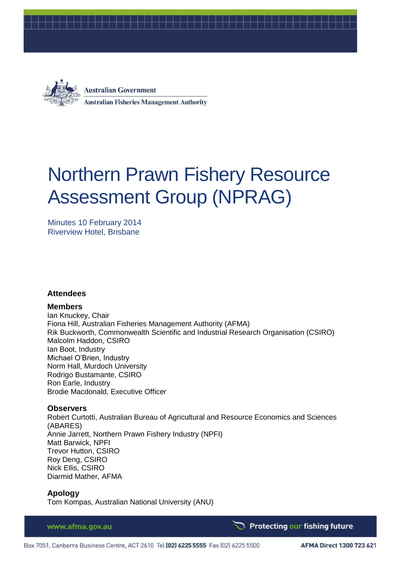



**Australian Government Australian Fisheries Management Authority** 

# Northern Prawn Fishery Resource Assessment Group (NPRAG)

Minutes 10 February 2014 Riverview Hotel, Brisbane

### **Attendees**

#### **Members**

Ian Knuckey, Chair Fiona Hill, Australian Fisheries Management Authority (AFMA) Rik Buckworth, Commonwealth Scientific and Industrial Research Organisation (CSIRO) Malcolm Haddon, CSIRO Ian Boot, Industry Michael O'Brien, Industry Norm Hall, Murdoch University Rodrigo Bustamante, CSIRO Ron Earle, Industry Brodie Macdonald, Executive Officer

#### **Observers**

Robert Curtotti, Australian Bureau of Agricultural and Resource Economics and Sciences (ABARES) Annie Jarrett, Northern Prawn Fishery Industry (NPFI) Matt Barwick, NPFI Trevor Hutton, CSIRO Roy Deng, CSIRO Nick Ellis, CSIRO Diarmid Mather, AFMA

### **Apology**

Tom Kompas, Australian National University (ANU)

#### www.afma.gov.au

Protecting our fishing future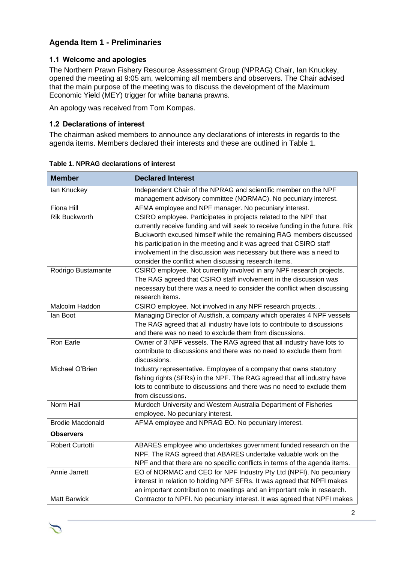# **Agenda Item 1 - Preliminaries**

## **1.1 Welcome and apologies**

The Northern Prawn Fishery Resource Assessment Group (NPRAG) Chair, Ian Knuckey, opened the meeting at 9:05 am, welcoming all members and observers. The Chair advised that the main purpose of the meeting was to discuss the development of the Maximum Economic Yield (MEY) trigger for white banana prawns.

An apology was received from Tom Kompas.

## **1.2 Declarations of interest**

The chairman asked members to announce any declarations of interests in regards to the agenda items. Members declared their interests and these are outlined in [Table 1.](#page-1-0)

| <b>Member</b>           | <b>Declared Interest</b>                                                      |  |  |
|-------------------------|-------------------------------------------------------------------------------|--|--|
| lan Knuckey             | Independent Chair of the NPRAG and scientific member on the NPF               |  |  |
|                         | management advisory committee (NORMAC). No pecuniary interest.                |  |  |
| <b>Fiona Hill</b>       | AFMA employee and NPF manager. No pecuniary interest.                         |  |  |
| <b>Rik Buckworth</b>    | CSIRO employee. Participates in projects related to the NPF that              |  |  |
|                         | currently receive funding and will seek to receive funding in the future. Rik |  |  |
|                         | Buckworth excused himself while the remaining RAG members discussed           |  |  |
|                         | his participation in the meeting and it was agreed that CSIRO staff           |  |  |
|                         | involvement in the discussion was necessary but there was a need to           |  |  |
|                         | consider the conflict when discussing research items.                         |  |  |
| Rodrigo Bustamante      | CSIRO employee. Not currently involved in any NPF research projects.          |  |  |
|                         | The RAG agreed that CSIRO staff involvement in the discussion was             |  |  |
|                         | necessary but there was a need to consider the conflict when discussing       |  |  |
|                         | research items.                                                               |  |  |
| Malcolm Haddon          | CSIRO employee. Not involved in any NPF research projects. .                  |  |  |
| lan Boot                | Managing Director of Austfish, a company which operates 4 NPF vessels         |  |  |
|                         | The RAG agreed that all industry have lots to contribute to discussions       |  |  |
|                         | and there was no need to exclude them from discussions.                       |  |  |
| Ron Earle               | Owner of 3 NPF vessels. The RAG agreed that all industry have lots to         |  |  |
|                         | contribute to discussions and there was no need to exclude them from          |  |  |
|                         | discussions.                                                                  |  |  |
| Michael O'Brien         | Industry representative. Employee of a company that owns statutory            |  |  |
|                         | fishing rights (SFRs) in the NPF. The RAG agreed that all industry have       |  |  |
|                         | lots to contribute to discussions and there was no need to exclude them       |  |  |
|                         | from discussions.                                                             |  |  |
| Norm Hall               | Murdoch University and Western Australia Department of Fisheries              |  |  |
|                         | employee. No pecuniary interest.                                              |  |  |
| <b>Brodie Macdonald</b> | AFMA employee and NPRAG EO. No pecuniary interest.                            |  |  |
| <b>Observers</b>        |                                                                               |  |  |
| Robert Curtotti         | ABARES employee who undertakes government funded research on the              |  |  |
|                         | NPF. The RAG agreed that ABARES undertake valuable work on the                |  |  |
|                         | NPF and that there are no specific conflicts in terms of the agenda items.    |  |  |
| Annie Jarrett           | EO of NORMAC and CEO for NPF Industry Pty Ltd (NPFI). No pecuniary            |  |  |
|                         | interest in relation to holding NPF SFRs. It was agreed that NPFI makes       |  |  |
|                         | an important contribution to meetings and an important role in research.      |  |  |
| <b>Matt Barwick</b>     | Contractor to NPFI. No pecuniary interest. It was agreed that NPFI makes      |  |  |

<span id="page-1-0"></span>**Table 1. NPRAG declarations of interest**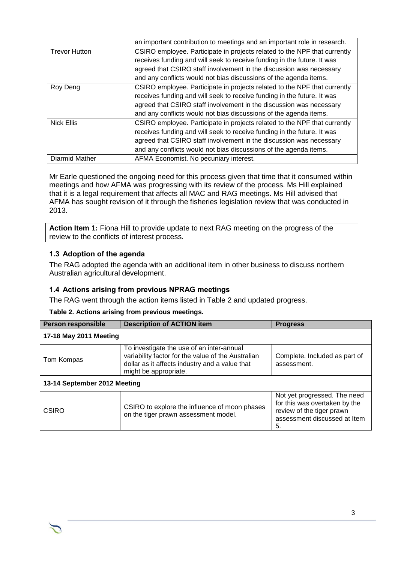|                      | an important contribution to meetings and an important role in research.  |  |  |
|----------------------|---------------------------------------------------------------------------|--|--|
| <b>Trevor Hutton</b> | CSIRO employee. Participate in projects related to the NPF that currently |  |  |
|                      | receives funding and will seek to receive funding in the future. It was   |  |  |
|                      | agreed that CSIRO staff involvement in the discussion was necessary       |  |  |
|                      | and any conflicts would not bias discussions of the agenda items.         |  |  |
| Roy Deng             | CSIRO employee. Participate in projects related to the NPF that currently |  |  |
|                      | receives funding and will seek to receive funding in the future. It was   |  |  |
|                      | agreed that CSIRO staff involvement in the discussion was necessary       |  |  |
|                      | and any conflicts would not bias discussions of the agenda items.         |  |  |
| <b>Nick Ellis</b>    | CSIRO employee. Participate in projects related to the NPF that currently |  |  |
|                      | receives funding and will seek to receive funding in the future. It was   |  |  |
|                      | agreed that CSIRO staff involvement in the discussion was necessary       |  |  |
|                      | and any conflicts would not bias discussions of the agenda items.         |  |  |
| Diarmid Mather       | AFMA Economist. No pecuniary interest.                                    |  |  |

Mr Earle questioned the ongoing need for this process given that time that it consumed within meetings and how AFMA was progressing with its review of the process. Ms Hill explained that it is a legal requirement that affects all MAC and RAG meetings. Ms Hill advised that AFMA has sought revision of it through the fisheries legislation review that was conducted in 2013.

**Action Item 1:** Fiona Hill to provide update to next RAG meeting on the progress of the review to the conflicts of interest process.

## **1.3 Adoption of the agenda**

The RAG adopted the agenda with an additional item in other business to discuss northern Australian agricultural development.

## **1.4 Actions arising from previous NPRAG meetings**

The RAG went through the action items listed in [Table 2](#page-2-0) and updated progress.

<span id="page-2-0"></span>

|  |  |  |  |  | Table 2. Actions arising from previous meetings. |
|--|--|--|--|--|--------------------------------------------------|
|--|--|--|--|--|--------------------------------------------------|

| <b>Person responsible</b>    | <b>Description of ACTION item</b>                                                                                                                                          | <b>Progress</b>                              |  |  |
|------------------------------|----------------------------------------------------------------------------------------------------------------------------------------------------------------------------|----------------------------------------------|--|--|
| 17-18 May 2011 Meeting       |                                                                                                                                                                            |                                              |  |  |
| Tom Kompas                   | To investigate the use of an inter-annual<br>variability factor for the value of the Australian<br>dollar as it affects industry and a value that<br>might be appropriate. | Complete. Included as part of<br>assessment. |  |  |
| 13-14 September 2012 Meeting |                                                                                                                                                                            |                                              |  |  |
| CSIRO                        | CSIRO to explore the influence of moon phases<br>on the tiger prawn assessment model.                                                                                      |                                              |  |  |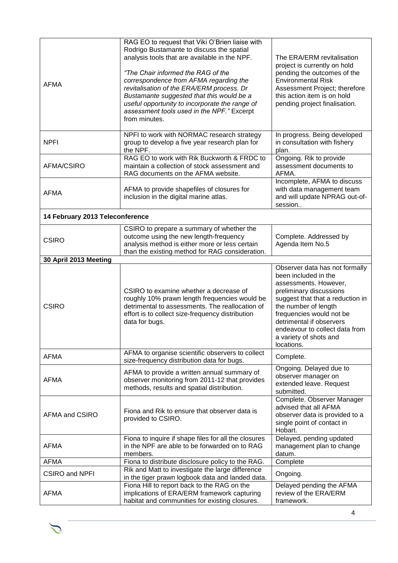| <b>AFMA</b>                     | RAG EO to request that Viki O'Brien liaise with<br>Rodrigo Bustamante to discuss the spatial<br>analysis tools that are available in the NPF.<br>"The Chair informed the RAG of the<br>correspondence from AFMA regarding the<br>revitalisation of the ERA/ERM process. Dr<br>Bustamante suggested that this would be a<br>useful opportunity to incorporate the range of<br>assessment tools used in the NPF." Excerpt<br>from minutes. | The ERA/ERM revitalisation<br>project is currently on hold<br>pending the outcomes of the<br><b>Environmental Risk</b><br>Assessment Project; therefore<br>this action item is on hold<br>pending project finalisation.                                                                                  |
|---------------------------------|------------------------------------------------------------------------------------------------------------------------------------------------------------------------------------------------------------------------------------------------------------------------------------------------------------------------------------------------------------------------------------------------------------------------------------------|----------------------------------------------------------------------------------------------------------------------------------------------------------------------------------------------------------------------------------------------------------------------------------------------------------|
| <b>NPFI</b>                     | NPFI to work with NORMAC research strategy<br>group to develop a five year research plan for<br>the NPF.                                                                                                                                                                                                                                                                                                                                 | In progress. Being developed<br>in consultation with fishery<br>plan.                                                                                                                                                                                                                                    |
| AFMA/CSIRO                      | RAG EO to work with Rik Buckworth & FRDC to<br>maintain a collection of stock assessment and<br>RAG documents on the AFMA website.                                                                                                                                                                                                                                                                                                       | Ongoing. Rik to provide<br>assessment documents to<br>AFMA.                                                                                                                                                                                                                                              |
| <b>AFMA</b>                     | AFMA to provide shapefiles of closures for<br>inclusion in the digital marine atlas.                                                                                                                                                                                                                                                                                                                                                     | Incomplete, AFMA to discuss<br>with data management team<br>and will update NPRAG out-of-<br>session                                                                                                                                                                                                     |
| 14 February 2013 Teleconference |                                                                                                                                                                                                                                                                                                                                                                                                                                          |                                                                                                                                                                                                                                                                                                          |
| <b>CSIRO</b>                    | CSIRO to prepare a summary of whether the<br>outcome using the new length-frequency<br>analysis method is either more or less certain<br>than the existing method for RAG consideration.                                                                                                                                                                                                                                                 | Complete. Addressed by<br>Agenda Item No.5                                                                                                                                                                                                                                                               |
| 30 April 2013 Meeting           |                                                                                                                                                                                                                                                                                                                                                                                                                                          |                                                                                                                                                                                                                                                                                                          |
| <b>CSIRO</b>                    | CSIRO to examine whether a decrease of<br>roughly 10% prawn length frequencies would be<br>detrimental to assessments. The reallocation of<br>effort is to collect size-frequency distribution<br>data for bugs.                                                                                                                                                                                                                         | Observer data has not formally<br>been included in the<br>assessments. However,<br>preliminary discussions<br>suggest that that a reduction in<br>the number of length<br>frequencies would not be<br>detrimental if observers<br>endeavour to collect data from<br>a variety of shots and<br>locations. |
| <b>AFMA</b>                     | AFMA to organise scientific observers to collect<br>size-frequency distribution data for bugs.                                                                                                                                                                                                                                                                                                                                           | Complete.                                                                                                                                                                                                                                                                                                |
| <b>AFMA</b>                     | AFMA to provide a written annual summary of<br>observer monitoring from 2011-12 that provides<br>methods, results and spatial distribution.                                                                                                                                                                                                                                                                                              | Ongoing. Delayed due to<br>observer manager on<br>extended leave. Request<br>submitted.                                                                                                                                                                                                                  |
| AFMA and CSIRO                  | Fiona and Rik to ensure that observer data is<br>provided to CSIRO.                                                                                                                                                                                                                                                                                                                                                                      | Complete. Observer Manager<br>advised that all AFMA<br>observer data is provided to a<br>single point of contact in<br>Hobart.                                                                                                                                                                           |
| <b>AFMA</b>                     | Fiona to inquire if shape files for all the closures<br>in the NPF are able to be forwarded on to RAG<br>members.                                                                                                                                                                                                                                                                                                                        | Delayed, pending updated<br>management plan to change<br>datum.                                                                                                                                                                                                                                          |
| <b>AFMA</b>                     | Fiona to distribute disclosure policy to the RAG.                                                                                                                                                                                                                                                                                                                                                                                        | Complete                                                                                                                                                                                                                                                                                                 |
| <b>CSIRO and NPFI</b>           | Rik and Matt to investigate the large difference<br>in the tiger prawn logbook data and landed data.                                                                                                                                                                                                                                                                                                                                     | Ongoing.                                                                                                                                                                                                                                                                                                 |
| <b>AFMA</b>                     | Fiona Hill to report back to the RAG on the<br>implications of ERA/ERM framework capturing<br>habitat and communities for existing closures.                                                                                                                                                                                                                                                                                             | Delayed pending the AFMA<br>review of the ERA/ERM<br>framework.                                                                                                                                                                                                                                          |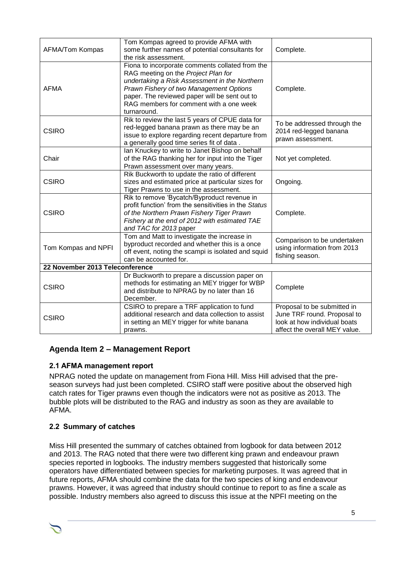| AFMA/Tom Kompas                 | Tom Kompas agreed to provide AFMA with<br>some further names of potential consultants for<br>the risk assessment.                                                                                                                                                                             | Complete.                                                                                                                   |  |  |
|---------------------------------|-----------------------------------------------------------------------------------------------------------------------------------------------------------------------------------------------------------------------------------------------------------------------------------------------|-----------------------------------------------------------------------------------------------------------------------------|--|--|
| <b>AFMA</b>                     | Fiona to incorporate comments collated from the<br>RAG meeting on the Project Plan for<br>undertaking a Risk Assessment in the Northern<br>Prawn Fishery of two Management Options<br>paper. The reviewed paper will be sent out to<br>RAG members for comment with a one week<br>turnaround. | Complete.                                                                                                                   |  |  |
| <b>CSIRO</b>                    | Rik to review the last 5 years of CPUE data for<br>red-legged banana prawn as there may be an<br>issue to explore regarding recent departure from<br>a generally good time series fit of data.                                                                                                | To be addressed through the<br>2014 red-legged banana<br>prawn assessment.                                                  |  |  |
| Chair                           | Ian Knuckey to write to Janet Bishop on behalf<br>of the RAG thanking her for input into the Tiger<br>Prawn assessment over many years.                                                                                                                                                       | Not yet completed.                                                                                                          |  |  |
| <b>CSIRO</b>                    | Rik Buckworth to update the ratio of different<br>sizes and estimated price at particular sizes for<br>Tiger Prawns to use in the assessment.                                                                                                                                                 | Ongoing.                                                                                                                    |  |  |
| <b>CSIRO</b>                    | Rik to remove 'Bycatch/Byproduct revenue in<br>profit function' from the sensitivities in the Status<br>of the Northern Prawn Fishery Tiger Prawn<br>Fishery at the end of 2012 with estimated TAE<br>and TAC for 2013 paper                                                                  | Complete.                                                                                                                   |  |  |
| Tom Kompas and NPFI             | Tom and Matt to investigate the increase in<br>byproduct recorded and whether this is a once<br>off event, noting the scampi is isolated and squid<br>can be accounted for.                                                                                                                   | Comparison to be undertaken<br>using information from 2013<br>fishing season.                                               |  |  |
| 22 November 2013 Teleconference |                                                                                                                                                                                                                                                                                               |                                                                                                                             |  |  |
| <b>CSIRO</b>                    | Dr Buckworth to prepare a discussion paper on<br>methods for estimating an MEY trigger for WBP<br>and distribute to NPRAG by no later than 16<br>December.                                                                                                                                    | Complete                                                                                                                    |  |  |
| <b>CSIRO</b>                    | CSIRO to prepare a TRF application to fund<br>additional research and data collection to assist<br>in setting an MEY trigger for white banana<br>prawns.                                                                                                                                      | Proposal to be submitted in<br>June TRF round. Proposal to<br>look at how individual boats<br>affect the overall MEY value. |  |  |

# **Agenda Item 2 – Management Report**

## **2.1 AFMA management report**

NPRAG noted the update on management from Fiona Hill. Miss Hill advised that the preseason surveys had just been completed. CSIRO staff were positive about the observed high catch rates for Tiger prawns even though the indicators were not as positive as 2013. The bubble plots will be distributed to the RAG and industry as soon as they are available to AFMA.

## **2.2 Summary of catches**

Miss Hill presented the summary of catches obtained from logbook for data between 2012 and 2013. The RAG noted that there were two different king prawn and endeavour prawn species reported in logbooks. The industry members suggested that historically some operators have differentiated between species for marketing purposes. It was agreed that in future reports, AFMA should combine the data for the two species of king and endeavour prawns. However, it was agreed that industry should continue to report to as fine a scale as possible. Industry members also agreed to discuss this issue at the NPFI meeting on the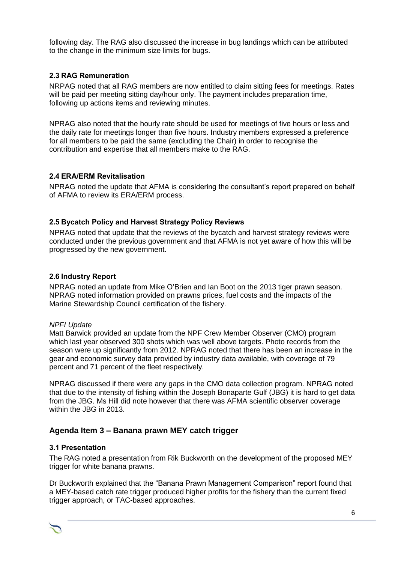following day. The RAG also discussed the increase in bug landings which can be attributed to the change in the minimum size limits for bugs.

## **2.3 RAG Remuneration**

NRPAG noted that all RAG members are now entitled to claim sitting fees for meetings. Rates will be paid per meeting sitting day/hour only. The payment includes preparation time, following up actions items and reviewing minutes.

NPRAG also noted that the hourly rate should be used for meetings of five hours or less and the daily rate for meetings longer than five hours. Industry members expressed a preference for all members to be paid the same (excluding the Chair) in order to recognise the contribution and expertise that all members make to the RAG.

### **2.4 ERA/ERM Revitalisation**

NPRAG noted the update that AFMA is considering the consultant's report prepared on behalf of AFMA to review its ERA/ERM process.

### **2.5 Bycatch Policy and Harvest Strategy Policy Reviews**

NPRAG noted that update that the reviews of the bycatch and harvest strategy reviews were conducted under the previous government and that AFMA is not yet aware of how this will be progressed by the new government.

#### **2.6 Industry Report**

NPRAG noted an update from Mike O'Brien and Ian Boot on the 2013 tiger prawn season. NPRAG noted information provided on prawns prices, fuel costs and the impacts of the Marine Stewardship Council certification of the fishery.

#### *NPFI Update*

Matt Barwick provided an update from the NPF Crew Member Observer (CMO) program which last year observed 300 shots which was well above targets. Photo records from the season were up significantly from 2012. NPRAG noted that there has been an increase in the gear and economic survey data provided by industry data available, with coverage of 79 percent and 71 percent of the fleet respectively.

NPRAG discussed if there were any gaps in the CMO data collection program. NPRAG noted that due to the intensity of fishing within the Joseph Bonaparte Gulf (JBG) it is hard to get data from the JBG. Ms Hill did note however that there was AFMA scientific observer coverage within the JBG in 2013.

## **Agenda Item 3 – Banana prawn MEY catch trigger**

### **3.1 Presentation**

The RAG noted a presentation from Rik Buckworth on the development of the proposed MEY trigger for white banana prawns.

Dr Buckworth explained that the "Banana Prawn Management Comparison" report found that a MEY-based catch rate trigger produced higher profits for the fishery than the current fixed trigger approach, or TAC-based approaches.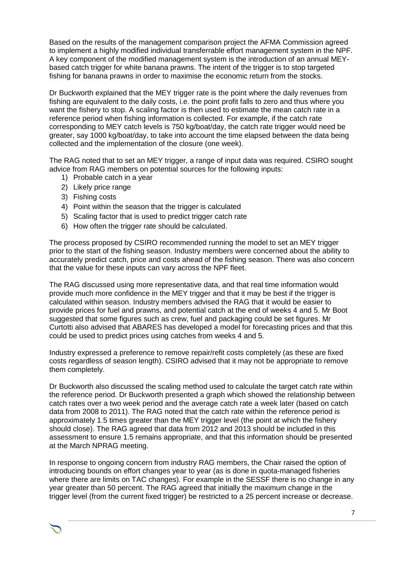Based on the results of the management comparison project the AFMA Commission agreed to implement a highly modified individual transferrable effort management system in the NPF. A key component of the modified management system is the introduction of an annual MEYbased catch trigger for white banana prawns. The intent of the trigger is to stop targeted fishing for banana prawns in order to maximise the economic return from the stocks.

Dr Buckworth explained that the MEY trigger rate is the point where the daily revenues from fishing are equivalent to the daily costs, i.e. the point profit falls to zero and thus where you want the fishery to stop. A scaling factor is then used to estimate the mean catch rate in a reference period when fishing information is collected. For example, if the catch rate corresponding to MEY catch levels is 750 kg/boat/day, the catch rate trigger would need be greater, say 1000 kg/boat/day, to take into account the time elapsed between the data being collected and the implementation of the closure (one week).

The RAG noted that to set an MEY trigger, a range of input data was required. CSIRO sought advice from RAG members on potential sources for the following inputs:

- 1) Probable catch in a year
- 2) Likely price range
- 3) Fishing costs
- 4) Point within the season that the trigger is calculated
- 5) Scaling factor that is used to predict trigger catch rate
- 6) How often the trigger rate should be calculated.

The process proposed by CSIRO recommended running the model to set an MEY trigger prior to the start of the fishing season. Industry members were concerned about the ability to accurately predict catch, price and costs ahead of the fishing season. There was also concern that the value for these inputs can vary across the NPF fleet.

The RAG discussed using more representative data, and that real time information would provide much more confidence in the MEY trigger and that it may be best if the trigger is calculated within season. Industry members advised the RAG that it would be easier to provide prices for fuel and prawns, and potential catch at the end of weeks 4 and 5. Mr Boot suggested that some figures such as crew, fuel and packaging could be set figures. Mr Curtotti also advised that ABARES has developed a model for forecasting prices and that this could be used to predict prices using catches from weeks 4 and 5.

Industry expressed a preference to remove repair/refit costs completely (as these are fixed costs regardless of season length). CSIRO advised that it may not be appropriate to remove them completely.

Dr Buckworth also discussed the scaling method used to calculate the target catch rate within the reference period. Dr Buckworth presented a graph which showed the relationship between catch rates over a two week period and the average catch rate a week later (based on catch data from 2008 to 2011). The RAG noted that the catch rate within the reference period is approximately 1.5 times greater than the MEY trigger level (the point at which the fishery should close). The RAG agreed that data from 2012 and 2013 should be included in this assessment to ensure 1.5 remains appropriate, and that this information should be presented at the March NPRAG meeting.

In response to ongoing concern from industry RAG members, the Chair raised the option of introducing bounds on effort changes year to year (as is done in quota-managed fisheries where there are limits on TAC changes). For example in the SESSF there is no change in any year greater than 50 percent. The RAG agreed that initially the maximum change in the trigger level (from the current fixed trigger) be restricted to a 25 percent increase or decrease.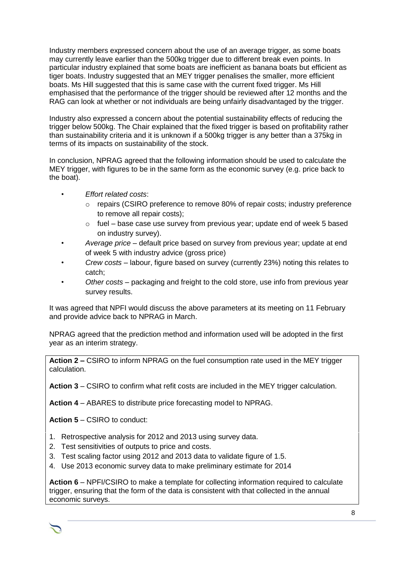Industry members expressed concern about the use of an average trigger, as some boats may currently leave earlier than the 500kg trigger due to different break even points. In particular industry explained that some boats are inefficient as banana boats but efficient as tiger boats. Industry suggested that an MEY trigger penalises the smaller, more efficient boats. Ms Hill suggested that this is same case with the current fixed trigger. Ms Hill emphasised that the performance of the trigger should be reviewed after 12 months and the RAG can look at whether or not individuals are being unfairly disadvantaged by the trigger.

Industry also expressed a concern about the potential sustainability effects of reducing the trigger below 500kg. The Chair explained that the fixed trigger is based on profitability rather than sustainability criteria and it is unknown if a 500kg trigger is any better than a 375kg in terms of its impacts on sustainability of the stock.

In conclusion, NPRAG agreed that the following information should be used to calculate the MEY trigger, with figures to be in the same form as the economic survey (e.g. price back to the boat).

- *Effort related costs*:
	- o repairs (CSIRO preference to remove 80% of repair costs; industry preference to remove all repair costs);
	- $\circ$  fuel base case use survey from previous vear; update end of week 5 based on industry survey).
- *Average price* default price based on survey from previous year; update at end of week 5 with industry advice (gross price)
- *Crew costs* labour, figure based on survey (currently 23%) noting this relates to catch;
- *Other costs* packaging and freight to the cold store, use info from previous year survey results.

It was agreed that NPFI would discuss the above parameters at its meeting on 11 February and provide advice back to NPRAG in March.

NPRAG agreed that the prediction method and information used will be adopted in the first year as an interim strategy.

**Action 2 –** CSIRO to inform NPRAG on the fuel consumption rate used in the MEY trigger calculation.

**Action 3** – CSIRO to confirm what refit costs are included in the MEY trigger calculation.

**Action 4** – ABARES to distribute price forecasting model to NPRAG.

**Action 5** – CSIRO to conduct:

- 1. Retrospective analysis for 2012 and 2013 using survey data.
- 2. Test sensitivities of outputs to price and costs.
- 3. Test scaling factor using 2012 and 2013 data to validate figure of 1.5.
- 4. Use 2013 economic survey data to make preliminary estimate for 2014

**Action 6** – NPFI/CSIRO to make a template for collecting information required to calculate trigger, ensuring that the form of the data is consistent with that collected in the annual economic surveys.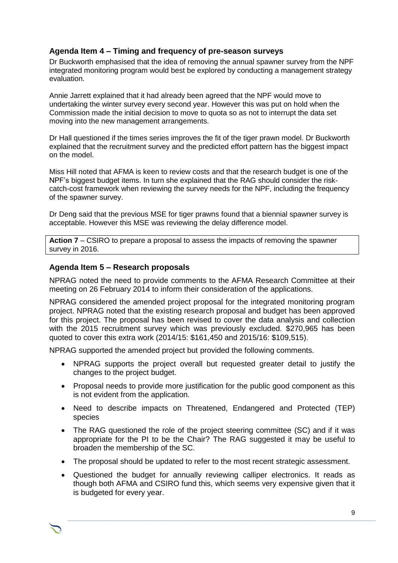# **Agenda Item 4 – Timing and frequency of pre-season surveys**

Dr Buckworth emphasised that the idea of removing the annual spawner survey from the NPF integrated monitoring program would best be explored by conducting a management strategy evaluation.

Annie Jarrett explained that it had already been agreed that the NPF would move to undertaking the winter survey every second year. However this was put on hold when the Commission made the initial decision to move to quota so as not to interrupt the data set moving into the new management arrangements.

Dr Hall questioned if the times series improves the fit of the tiger prawn model. Dr Buckworth explained that the recruitment survey and the predicted effort pattern has the biggest impact on the model.

Miss Hill noted that AFMA is keen to review costs and that the research budget is one of the NPF's biggest budget items. In turn she explained that the RAG should consider the riskcatch-cost framework when reviewing the survey needs for the NPF, including the frequency of the spawner survey.

Dr Deng said that the previous MSE for tiger prawns found that a biennial spawner survey is acceptable. However this MSE was reviewing the delay difference model.

**Action 7** – CSIRO to prepare a proposal to assess the impacts of removing the spawner survey in 2016.

## **Agenda Item 5 – Research proposals**

NPRAG noted the need to provide comments to the AFMA Research Committee at their meeting on 26 February 2014 to inform their consideration of the applications.

NPRAG considered the amended project proposal for the integrated monitoring program project. NPRAG noted that the existing research proposal and budget has been approved for this project. The proposal has been revised to cover the data analysis and collection with the 2015 recruitment survey which was previously excluded. \$270,965 has been quoted to cover this extra work (2014/15: \$161,450 and 2015/16: \$109,515).

NPRAG supported the amended project but provided the following comments.

- NPRAG supports the project overall but requested greater detail to justify the changes to the project budget.
- Proposal needs to provide more justification for the public good component as this is not evident from the application.
- Need to describe impacts on Threatened, Endangered and Protected (TEP) species
- The RAG questioned the role of the project steering committee (SC) and if it was appropriate for the PI to be the Chair? The RAG suggested it may be useful to broaden the membership of the SC.
- The proposal should be updated to refer to the most recent strategic assessment.
- Questioned the budget for annually reviewing calliper electronics. It reads as though both AFMA and CSIRO fund this, which seems very expensive given that it is budgeted for every year.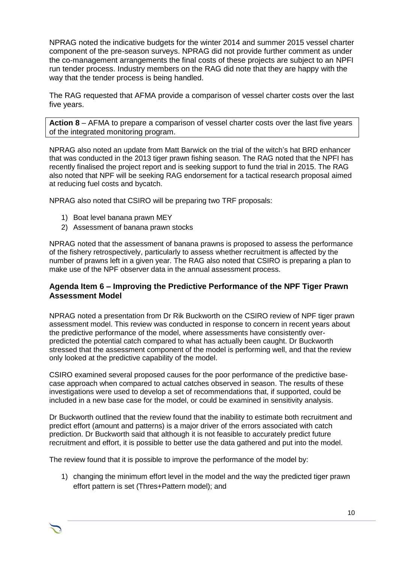NPRAG noted the indicative budgets for the winter 2014 and summer 2015 vessel charter component of the pre-season surveys. NPRAG did not provide further comment as under the co-management arrangements the final costs of these projects are subject to an NPFI run tender process. Industry members on the RAG did note that they are happy with the way that the tender process is being handled.

The RAG requested that AFMA provide a comparison of vessel charter costs over the last five years.

**Action 8** – AFMA to prepare a comparison of vessel charter costs over the last five years of the integrated monitoring program.

NPRAG also noted an update from Matt Barwick on the trial of the witch's hat BRD enhancer that was conducted in the 2013 tiger prawn fishing season. The RAG noted that the NPFI has recently finalised the project report and is seeking support to fund the trial in 2015. The RAG also noted that NPF will be seeking RAG endorsement for a tactical research proposal aimed at reducing fuel costs and bycatch.

NPRAG also noted that CSIRO will be preparing two TRF proposals:

- 1) Boat level banana prawn MEY
- 2) Assessment of banana prawn stocks

NPRAG noted that the assessment of banana prawns is proposed to assess the performance of the fishery retrospectively, particularly to assess whether recruitment is affected by the number of prawns left in a given year. The RAG also noted that CSIRO is preparing a plan to make use of the NPF observer data in the annual assessment process.

## **Agenda Item 6 – Improving the Predictive Performance of the NPF Tiger Prawn Assessment Model**

NPRAG noted a presentation from Dr Rik Buckworth on the CSIRO review of NPF tiger prawn assessment model. This review was conducted in response to concern in recent years about the predictive performance of the model, where assessments have consistently overpredicted the potential catch compared to what has actually been caught. Dr Buckworth stressed that the assessment component of the model is performing well, and that the review only looked at the predictive capability of the model.

CSIRO examined several proposed causes for the poor performance of the predictive basecase approach when compared to actual catches observed in season. The results of these investigations were used to develop a set of recommendations that, if supported, could be included in a new base case for the model, or could be examined in sensitivity analysis.

Dr Buckworth outlined that the review found that the inability to estimate both recruitment and predict effort (amount and patterns) is a major driver of the errors associated with catch prediction. Dr Buckworth said that although it is not feasible to accurately predict future recruitment and effort, it is possible to better use the data gathered and put into the model.

The review found that it is possible to improve the performance of the model by:

1) changing the minimum effort level in the model and the way the predicted tiger prawn effort pattern is set (Thres+Pattern model); and